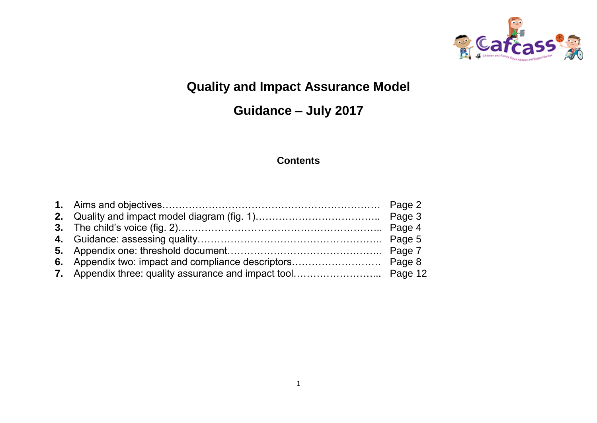

# **Quality and Impact Assurance Model**

# **Guidance – July 2017**

## **Contents**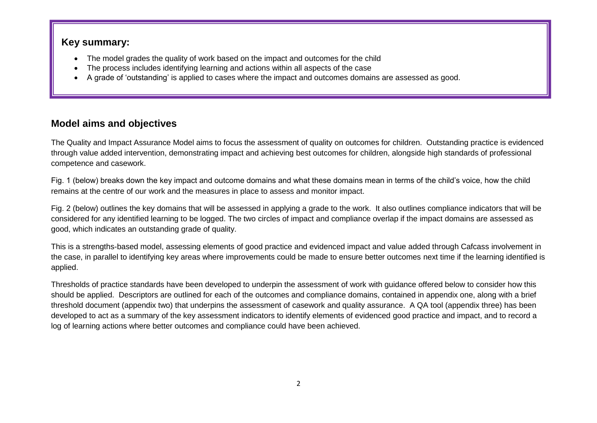#### **Key summary:**

- The model grades the quality of work based on the impact and outcomes for the child
- The process includes identifying learning and actions within all aspects of the case
- A grade of 'outstanding' is applied to cases where the impact and outcomes domains are assessed as good.

## **Model aims and objectives**

The Quality and Impact Assurance Model aims to focus the assessment of quality on outcomes for children. Outstanding practice is evidenced through value added intervention, demonstrating impact and achieving best outcomes for children, alongside high standards of professional competence and casework.

Fig. 1 (below) breaks down the key impact and outcome domains and what these domains mean in terms of the child's voice, how the child remains at the centre of our work and the measures in place to assess and monitor impact.

Fig. 2 (below) outlines the key domains that will be assessed in applying a grade to the work. It also outlines compliance indicators that will be considered for any identified learning to be logged. The two circles of impact and compliance overlap if the impact domains are assessed as good, which indicates an outstanding grade of quality.

This is a strengths-based model, assessing elements of good practice and evidenced impact and value added through Cafcass involvement in the case, in parallel to identifying key areas where improvements could be made to ensure better outcomes next time if the learning identified is applied.

Thresholds of practice standards have been developed to underpin the assessment of work with guidance offered below to consider how this should be applied. Descriptors are outlined for each of the outcomes and compliance domains, contained in appendix one, along with a brief threshold document (appendix two) that underpins the assessment of casework and quality assurance. A QA tool (appendix three) has been developed to act as a summary of the key assessment indicators to identify elements of evidenced good practice and impact, and to record a log of learning actions where better outcomes and compliance could have been achieved.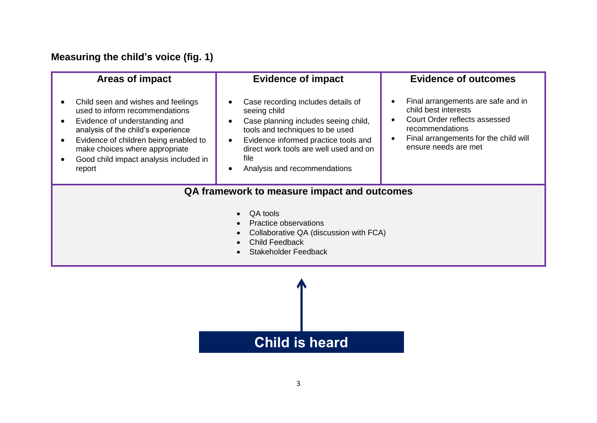# **Measuring the child's voice (fig. 1)**

| <b>Areas of impact</b>                                                                                                                                                                                                                                                                                                         | <b>Evidence of impact</b>                                                                                                                                                                                                                               | <b>Evidence of outcomes</b>                                                                                                                                                                               |
|--------------------------------------------------------------------------------------------------------------------------------------------------------------------------------------------------------------------------------------------------------------------------------------------------------------------------------|---------------------------------------------------------------------------------------------------------------------------------------------------------------------------------------------------------------------------------------------------------|-----------------------------------------------------------------------------------------------------------------------------------------------------------------------------------------------------------|
| Child seen and wishes and feelings<br>$\bullet$<br>used to inform recommendations<br>Evidence of understanding and<br>$\bullet$<br>analysis of the child's experience<br>Evidence of children being enabled to<br>$\bullet$<br>make choices where appropriate<br>Good child impact analysis included in<br>$\bullet$<br>report | Case recording includes details of<br>seeing child<br>Case planning includes seeing child,<br>tools and techniques to be used<br>Evidence informed practice tools and<br>direct work tools are well used and on<br>file<br>Analysis and recommendations | Final arrangements are safe and in<br>child best interests<br>Court Order reflects assessed<br>$\bullet$<br>recommendations<br>Final arrangements for the child will<br>$\bullet$<br>ensure needs are met |
| QA framework to measure impact and outcomes<br>QA tools<br>Practice observations<br>Collaborative QA (discussion with FCA)<br><b>Child Feedback</b><br><b>Stakeholder Feedback</b>                                                                                                                                             |                                                                                                                                                                                                                                                         |                                                                                                                                                                                                           |

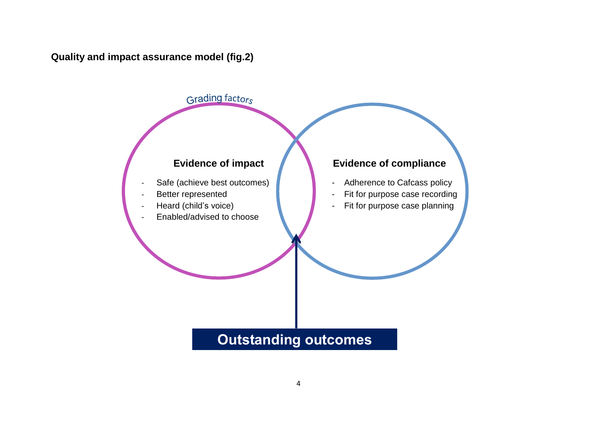**Quality and impact assurance model (fig.2)**



# **Outstanding outcomes**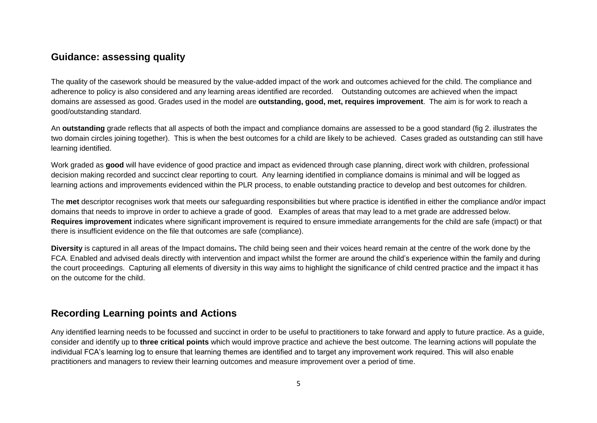#### **Guidance: assessing quality**

The quality of the casework should be measured by the value-added impact of the work and outcomes achieved for the child. The compliance and adherence to policy is also considered and any learning areas identified are recorded. Outstanding outcomes are achieved when the impact domains are assessed as good. Grades used in the model are **outstanding, good, met, requires improvement**. The aim is for work to reach a good/outstanding standard.

An **outstanding** grade reflects that all aspects of both the impact and compliance domains are assessed to be a good standard (fig 2. illustrates the two domain circles joining together). This is when the best outcomes for a child are likely to be achieved. Cases graded as outstanding can still have learning identified.

Work graded as **good** will have evidence of good practice and impact as evidenced through case planning, direct work with children, professional decision making recorded and succinct clear reporting to court. Any learning identified in compliance domains is minimal and will be logged as learning actions and improvements evidenced within the PLR process, to enable outstanding practice to develop and best outcomes for children.

The **met** descriptor recognises work that meets our safeguarding responsibilities but where practice is identified in either the compliance and/or impact domains that needs to improve in order to achieve a grade of good. Examples of areas that may lead to a met grade are addressed below. **Requires improvement** indicates where significant improvement is required to ensure immediate arrangements for the child are safe (impact) or that there is insufficient evidence on the file that outcomes are safe (compliance).

**Diversity** is captured in all areas of the Impact domains**.** The child being seen and their voices heard remain at the centre of the work done by the FCA. Enabled and advised deals directly with intervention and impact whilst the former are around the child's experience within the family and during the court proceedings. Capturing all elements of diversity in this way aims to highlight the significance of child centred practice and the impact it has on the outcome for the child.

## **Recording Learning points and Actions**

Any identified learning needs to be focussed and succinct in order to be useful to practitioners to take forward and apply to future practice. As a guide, consider and identify up to **three critical points** which would improve practice and achieve the best outcome. The learning actions will populate the individual FCA's learning log to ensure that learning themes are identified and to target any improvement work required. This will also enable practitioners and managers to review their learning outcomes and measure improvement over a period of time.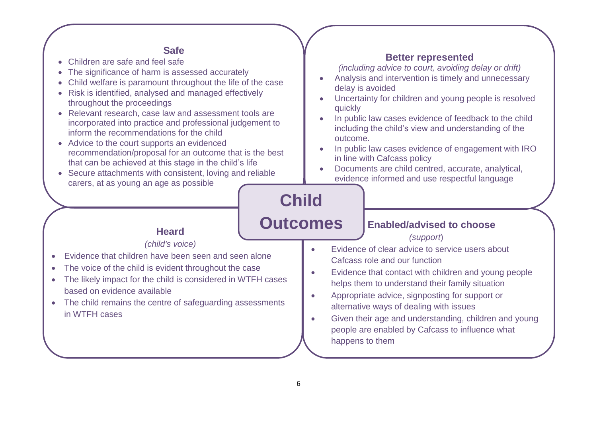#### **Safe**

- Children are safe and feel safe
- The significance of harm is assessed accurately
- Child welfare is paramount throughout the life of the case
- Risk is identified, analysed and managed effectively throughout the proceedings
- Relevant research, case law and assessment tools are incorporated into practice and professional judgement to inform the recommendations for the child
- Advice to the court supports an evidenced recommendation/proposal for an outcome that is the best that can be achieved at this stage in the child's life
- Secure attachments with consistent, loving and reliable carers, at as young an age as possible

#### **Better represented**

*(including advice to court, avoiding delay or drift)*

- Analysis and intervention is timely and unnecessary delay is avoided
- Uncertainty for children and young people is resolved quickly
- In public law cases evidence of feedback to the child including the child's view and understanding of the outcome.
- In public law cases evidence of engagement with IRO in line with Cafcass policy
- Documents are child centred, accurate, analytical, evidence informed and use respectful language

# **Child**

# **Outcomes**

#### **Enabled/advised to choose**

*(support*)

- Evidence of clear advice to service users about Cafcass role and our function
- Evidence that contact with children and young people helps them to understand their family situation
- Appropriate advice, signposting for support or alternative ways of dealing with issues
- Given their age and understanding, children and young people are enabled by Cafcass to influence what happens to them

# **Heard**

#### *(child's voice)*

- Evidence that children have been seen and seen alone
- The voice of the child is evident throughout the case
- The likely impact for the child is considered in WTFH cases based on evidence available
- The child remains the centre of safeguarding assessments in WTFH cases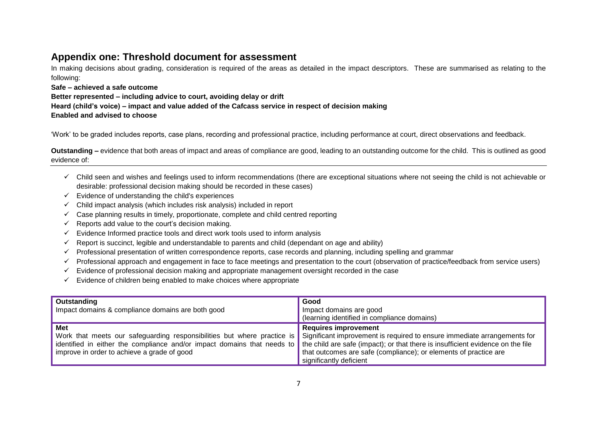#### **Appendix one: Threshold document for assessment**

In making decisions about grading, consideration is required of the areas as detailed in the impact descriptors. These are summarised as relating to the following:

**Safe – achieved a safe outcome Better represented – including advice to court, avoiding delay or drift Heard (child's voice) – impact and value added of the Cafcass service in respect of decision making Enabled and advised to choose**

'Work' to be graded includes reports, case plans, recording and professional practice, including performance at court, direct observations and feedback.

**Outstanding –** evidence that both areas of impact and areas of compliance are good, leading to an outstanding outcome for the child. This is outlined as good evidence of:

- ✓ Child seen and wishes and feelings used to inform recommendations (there are exceptional situations where not seeing the child is not achievable or desirable: professional decision making should be recorded in these cases)
- $\checkmark$  Evidence of understanding the child's experiences
- $\checkmark$  Child impact analysis (which includes risk analysis) included in report
- $\checkmark$  Case planning results in timely, proportionate, complete and child centred reporting
- $\checkmark$  Reports add value to the court's decision making.
- $\checkmark$  Evidence Informed practice tools and direct work tools used to inform analysis
- $\checkmark$  Report is succinct, legible and understandable to parents and child (dependant on age and ability)
- $\checkmark$  Professional presentation of written correspondence reports, case records and planning, including spelling and grammar
- ✓ Professional approach and engagement in face to face meetings and presentation to the court (observation of practice/feedback from service users)
- $\checkmark$  Evidence of professional decision making and appropriate management oversight recorded in the case
- $\checkmark$  Evidence of children being enabled to make choices where appropriate

| Outstanding<br>Impact domains & compliance domains are both good                                                                                                                                                                                                                                                                                                         | Good<br>Impact domains are good<br>(learning identified in compliance domains)                                             |
|--------------------------------------------------------------------------------------------------------------------------------------------------------------------------------------------------------------------------------------------------------------------------------------------------------------------------------------------------------------------------|----------------------------------------------------------------------------------------------------------------------------|
| <b>Met</b><br>Work that meets our safeguarding responsibilities but where practice is Significant improvement is required to ensure immediate arrangements for<br>identified in either the compliance and/or impact domains that needs to the child are safe (impact); or that there is insufficient evidence on the file<br>improve in order to achieve a grade of good | <b>Requires improvement</b><br>that outcomes are safe (compliance); or elements of practice are<br>significantly deficient |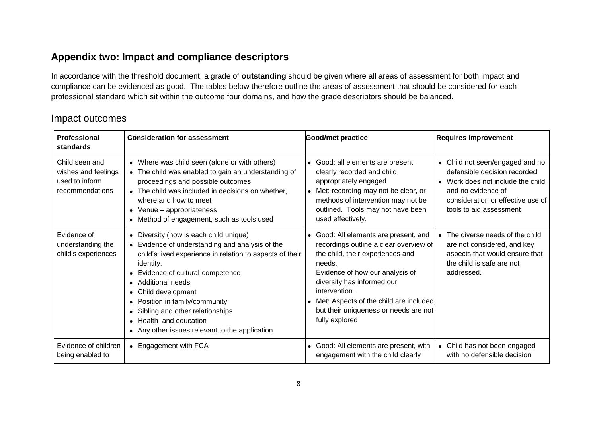## **Appendix two: Impact and compliance descriptors**

In accordance with the threshold document, a grade of **outstanding** should be given where all areas of assessment for both impact and compliance can be evidenced as good. The tables below therefore outline the areas of assessment that should be considered for each professional standard which sit within the outcome four domains, and how the grade descriptors should be balanced.

#### Impact outcomes

| <b>Professional</b><br>standards                                           | <b>Consideration for assessment</b>                                                                                                                                                                                                                                                                                                                                                                          | Good/met practice                                                                                                                                                                                                                                                                                                       | <b>Requires improvement</b>                                                                                                                                                                                      |
|----------------------------------------------------------------------------|--------------------------------------------------------------------------------------------------------------------------------------------------------------------------------------------------------------------------------------------------------------------------------------------------------------------------------------------------------------------------------------------------------------|-------------------------------------------------------------------------------------------------------------------------------------------------------------------------------------------------------------------------------------------------------------------------------------------------------------------------|------------------------------------------------------------------------------------------------------------------------------------------------------------------------------------------------------------------|
| Child seen and<br>wishes and feelings<br>used to inform<br>recommendations | • Where was child seen (alone or with others)<br>• The child was enabled to gain an understanding of<br>proceedings and possible outcomes<br>• The child was included in decisions on whether,<br>where and how to meet<br>• Venue - appropriateness<br>• Method of engagement, such as tools used                                                                                                           | • Good: all elements are present,<br>clearly recorded and child<br>appropriately engaged<br>Met: recording may not be clear, or<br>methods of intervention may not be<br>outlined. Tools may not have been<br>used effectively.                                                                                         | Child not seen/engaged and no<br>$\bullet$<br>defensible decision recorded<br>Work does not include the child<br>$\bullet$<br>and no evidence of<br>consideration or effective use of<br>tools to aid assessment |
| Evidence of<br>understanding the<br>child's experiences                    | • Diversity (how is each child unique)<br>Evidence of understanding and analysis of the<br>child's lived experience in relation to aspects of their<br>identity.<br>• Evidence of cultural-competence<br>• Additional needs<br>Child development<br>$\bullet$<br>Position in family/community<br>Sibling and other relationships<br>• Health and education<br>• Any other issues relevant to the application | • Good: All elements are present, and<br>recordings outline a clear overview of<br>the child, their experiences and<br>needs.<br>Evidence of how our analysis of<br>diversity has informed our<br>intervention.<br>• Met: Aspects of the child are included,<br>but their uniqueness or needs are not<br>fully explored | The diverse needs of the child<br>are not considered, and key<br>aspects that would ensure that<br>the child is safe are not<br>addressed.                                                                       |
| Evidence of children<br>being enabled to                                   | Engagement with FCA                                                                                                                                                                                                                                                                                                                                                                                          | • Good: All elements are present, with<br>engagement with the child clearly                                                                                                                                                                                                                                             | Child has not been engaged<br>$\bullet$<br>with no defensible decision                                                                                                                                           |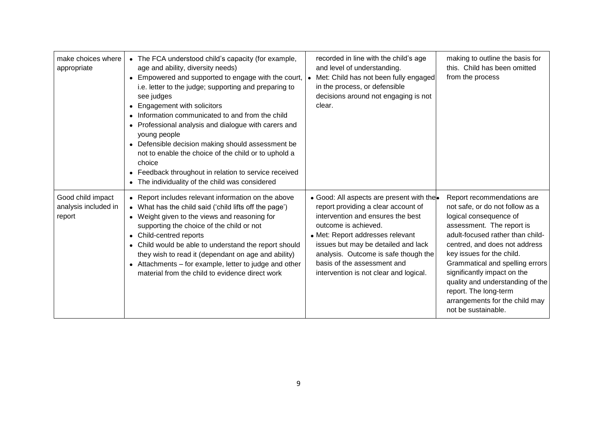| make choices where<br>appropriate                   | • The FCA understood child's capacity (for example,<br>age and ability, diversity needs)<br>• Empowered and supported to engage with the court,   •<br>i.e. letter to the judge; supporting and preparing to<br>see judges<br><b>Engagement with solicitors</b><br>$\bullet$<br>Information communicated to and from the child<br>Professional analysis and dialogue with carers and<br>young people<br>• Defensible decision making should assessment be<br>not to enable the choice of the child or to uphold a<br>choice<br>• Feedback throughout in relation to service received<br>The individuality of the child was considered | recorded in line with the child's age<br>and level of understanding.<br>Met: Child has not been fully engaged<br>in the process, or defensible<br>decisions around not engaging is not<br>clear.                                                                                                                                         | making to outline the basis for<br>this. Child has been omitted<br>from the process                                                                                                                                                                                                                                                                                                                            |
|-----------------------------------------------------|---------------------------------------------------------------------------------------------------------------------------------------------------------------------------------------------------------------------------------------------------------------------------------------------------------------------------------------------------------------------------------------------------------------------------------------------------------------------------------------------------------------------------------------------------------------------------------------------------------------------------------------|------------------------------------------------------------------------------------------------------------------------------------------------------------------------------------------------------------------------------------------------------------------------------------------------------------------------------------------|----------------------------------------------------------------------------------------------------------------------------------------------------------------------------------------------------------------------------------------------------------------------------------------------------------------------------------------------------------------------------------------------------------------|
| Good child impact<br>analysis included in<br>report | • Report includes relevant information on the above<br>• What has the child said ('child lifts off the page')<br>• Weight given to the views and reasoning for<br>supporting the choice of the child or not<br>• Child-centred reports<br>• Child would be able to understand the report should<br>they wish to read it (dependant on age and ability)<br>• Attachments – for example, letter to judge and other<br>material from the child to evidence direct work                                                                                                                                                                   | • Good: All aspects are present with the<br>report providing a clear account of<br>intervention and ensures the best<br>outcome is achieved.<br>• Met: Report addresses relevant<br>issues but may be detailed and lack<br>analysis. Outcome is safe though the<br>basis of the assessment and<br>intervention is not clear and logical. | Report recommendations are<br>not safe, or do not follow as a<br>logical consequence of<br>assessment. The report is<br>adult-focused rather than child-<br>centred, and does not address<br>key issues for the child.<br>Grammatical and spelling errors<br>significantly impact on the<br>quality and understanding of the<br>report. The long-term<br>arrangements for the child may<br>not be sustainable. |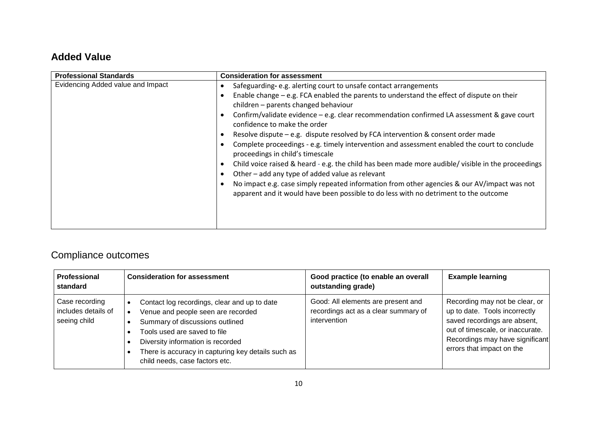## **Added Value**

| <b>Professional Standards</b>     | <b>Consideration for assessment</b>                                                                                                                                                 |
|-----------------------------------|-------------------------------------------------------------------------------------------------------------------------------------------------------------------------------------|
| Evidencing Added value and Impact | Safeguarding-e.g. alerting court to unsafe contact arrangements                                                                                                                     |
|                                   | Enable change $-$ e.g. FCA enabled the parents to understand the effect of dispute on their<br>children - parents changed behaviour                                                 |
|                                   | Confirm/validate evidence - e.g. clear recommendation confirmed LA assessment & gave court<br>confidence to make the order                                                          |
|                                   | Resolve dispute $-$ e.g. dispute resolved by FCA intervention & consent order made                                                                                                  |
|                                   | Complete proceedings - e.g. timely intervention and assessment enabled the court to conclude<br>proceedings in child's timescale                                                    |
|                                   | Child voice raised & heard - e.g. the child has been made more audible/ visible in the proceedings<br>Other - add any type of added value as relevant                               |
|                                   | No impact e.g. case simply repeated information from other agencies & our AV/impact was not<br>apparent and it would have been possible to do less with no detriment to the outcome |
|                                   |                                                                                                                                                                                     |

# Compliance outcomes

| <b>Professional</b><br>standard                       | <b>Consideration for assessment</b>                                                                                                                                                                                                                                                | Good practice (to enable an overall<br>outstanding grade)                                  | <b>Example learning</b>                                                                                                                                                                             |
|-------------------------------------------------------|------------------------------------------------------------------------------------------------------------------------------------------------------------------------------------------------------------------------------------------------------------------------------------|--------------------------------------------------------------------------------------------|-----------------------------------------------------------------------------------------------------------------------------------------------------------------------------------------------------|
| Case recording<br>includes details of<br>seeing child | Contact log recordings, clear and up to date<br>Venue and people seen are recorded<br>Summary of discussions outlined<br>Tools used are saved to file<br>Diversity information is recorded<br>There is accuracy in capturing key details such as<br>child needs, case factors etc. | Good: All elements are present and<br>recordings act as a clear summary of<br>intervention | Recording may not be clear, or<br>up to date. Tools incorrectly<br>saved recordings are absent,<br>out of timescale, or inaccurate.<br>Recordings may have significant<br>errors that impact on the |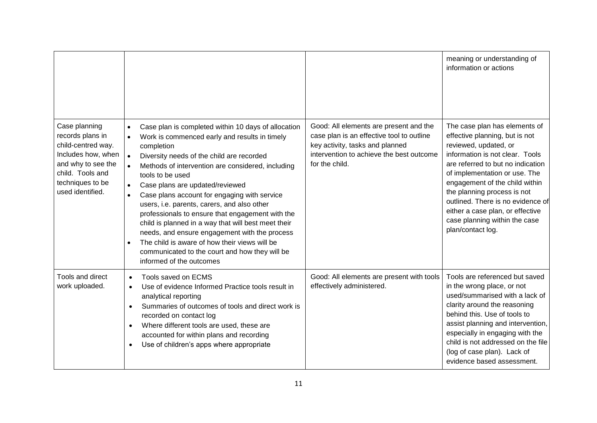|                                                                                                                                                                 |                                                                                                                                                                                                                                                                                                                                                                                                                                                                                                                                                                                                                                                                                                              |                                                                                                                                                                                      | meaning or understanding of<br>information or actions                                                                                                                                                                                                                                                                                                                                             |
|-----------------------------------------------------------------------------------------------------------------------------------------------------------------|--------------------------------------------------------------------------------------------------------------------------------------------------------------------------------------------------------------------------------------------------------------------------------------------------------------------------------------------------------------------------------------------------------------------------------------------------------------------------------------------------------------------------------------------------------------------------------------------------------------------------------------------------------------------------------------------------------------|--------------------------------------------------------------------------------------------------------------------------------------------------------------------------------------|---------------------------------------------------------------------------------------------------------------------------------------------------------------------------------------------------------------------------------------------------------------------------------------------------------------------------------------------------------------------------------------------------|
| Case planning<br>records plans in<br>child-centred way.<br>Includes how, when<br>and why to see the<br>child. Tools and<br>techniques to be<br>used identified. | Case plan is completed within 10 days of allocation<br>$\bullet$<br>Work is commenced early and results in timely<br>completion<br>Diversity needs of the child are recorded<br>Methods of intervention are considered, including<br>tools to be used<br>Case plans are updated/reviewed<br>$\bullet$<br>Case plans account for engaging with service<br>$\bullet$<br>users, i.e. parents, carers, and also other<br>professionals to ensure that engagement with the<br>child is planned in a way that will best meet their<br>needs, and ensure engagement with the process<br>The child is aware of how their views will be<br>communicated to the court and how they will be<br>informed of the outcomes | Good: All elements are present and the<br>case plan is an effective tool to outline<br>key activity, tasks and planned<br>intervention to achieve the best outcome<br>for the child. | The case plan has elements of<br>effective planning, but is not<br>reviewed, updated, or<br>information is not clear. Tools<br>are referred to but no indication<br>of implementation or use. The<br>engagement of the child within<br>the planning process is not<br>outlined. There is no evidence of<br>either a case plan, or effective<br>case planning within the case<br>plan/contact log. |
| Tools and direct<br>work uploaded.                                                                                                                              | Tools saved on ECMS<br>$\bullet$<br>Use of evidence Informed Practice tools result in<br>$\bullet$<br>analytical reporting<br>Summaries of outcomes of tools and direct work is<br>$\bullet$<br>recorded on contact log<br>Where different tools are used, these are<br>$\bullet$<br>accounted for within plans and recording<br>Use of children's apps where appropriate<br>$\bullet$                                                                                                                                                                                                                                                                                                                       | Good: All elements are present with tools<br>effectively administered.                                                                                                               | Tools are referenced but saved<br>in the wrong place, or not<br>used/summarised with a lack of<br>clarity around the reasoning<br>behind this. Use of tools to<br>assist planning and intervention,<br>especially in engaging with the<br>child is not addressed on the file<br>(log of case plan). Lack of<br>evidence based assessment.                                                         |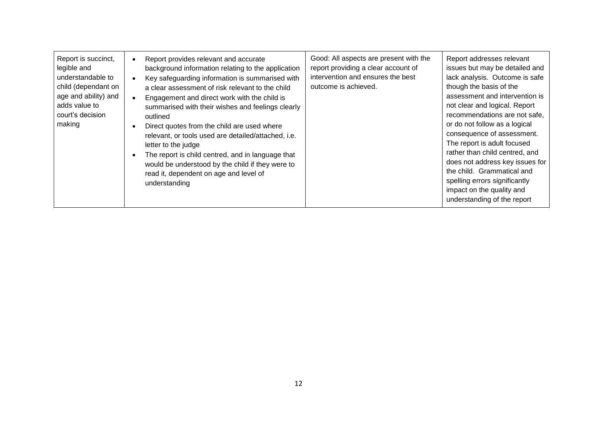| Report is succinct,<br>legible and<br>understandable to<br>child (dependant on<br>age and ability) and<br>adds value to<br>court's decision<br>making | Report provides relevant and accurate<br>background information relating to the application<br>Key safeguarding information is summarised with<br>a clear assessment of risk relevant to the child<br>Engagement and direct work with the child is<br>summarised with their wishes and feelings clearly<br>outlined<br>Direct quotes from the child are used where<br>relevant, or tools used are detailed/attached, i.e.<br>letter to the judge<br>The report is child centred, and in language that<br>would be understood by the child if they were to<br>read it, dependent on age and level of<br>understanding | Good: All aspects are present with the<br>report providing a clear account of<br>intervention and ensures the best<br>outcome is achieved. | Report addresses relevant<br>issues but may be detailed and<br>lack analysis. Outcome is safe<br>though the basis of the<br>assessment and intervention is<br>not clear and logical. Report<br>recommendations are not safe.<br>or do not follow as a logical<br>consequence of assessment.<br>The report is adult focused<br>rather than child centred, and<br>does not address key issues for<br>the child. Grammatical and<br>spelling errors significantly<br>impact on the quality and<br>understanding of the report |
|-------------------------------------------------------------------------------------------------------------------------------------------------------|----------------------------------------------------------------------------------------------------------------------------------------------------------------------------------------------------------------------------------------------------------------------------------------------------------------------------------------------------------------------------------------------------------------------------------------------------------------------------------------------------------------------------------------------------------------------------------------------------------------------|--------------------------------------------------------------------------------------------------------------------------------------------|----------------------------------------------------------------------------------------------------------------------------------------------------------------------------------------------------------------------------------------------------------------------------------------------------------------------------------------------------------------------------------------------------------------------------------------------------------------------------------------------------------------------------|
|-------------------------------------------------------------------------------------------------------------------------------------------------------|----------------------------------------------------------------------------------------------------------------------------------------------------------------------------------------------------------------------------------------------------------------------------------------------------------------------------------------------------------------------------------------------------------------------------------------------------------------------------------------------------------------------------------------------------------------------------------------------------------------------|--------------------------------------------------------------------------------------------------------------------------------------------|----------------------------------------------------------------------------------------------------------------------------------------------------------------------------------------------------------------------------------------------------------------------------------------------------------------------------------------------------------------------------------------------------------------------------------------------------------------------------------------------------------------------------|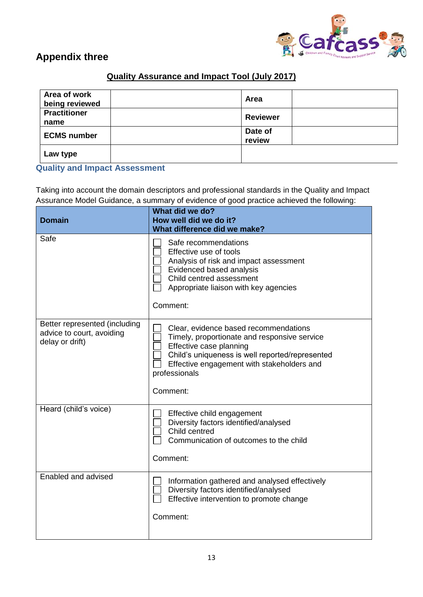

## **Appendix three**

## **Quality Assurance and Impact Tool (July 2017)**

| Area of work<br>being reviewed | Area              |  |
|--------------------------------|-------------------|--|
| <b>Practitioner</b><br>name    | <b>Reviewer</b>   |  |
| <b>ECMS number</b>             | Date of<br>review |  |
| Law type                       |                   |  |

#### **Quality and Impact Assessment**

Taking into account the domain descriptors and professional standards in the Quality and Impact Assurance Model Guidance, a summary of evidence of good practice achieved the following:

| <b>Domain</b>                                                                 | What did we do?<br>How well did we do it?<br>What difference did we make?                                                                                                                                                                      |
|-------------------------------------------------------------------------------|------------------------------------------------------------------------------------------------------------------------------------------------------------------------------------------------------------------------------------------------|
| Safe                                                                          | Safe recommendations<br>Effective use of tools<br>Analysis of risk and impact assessment<br>Evidenced based analysis<br>Child centred assessment<br>Appropriate liaison with key agencies<br>Comment:                                          |
| Better represented (including<br>advice to court, avoiding<br>delay or drift) | Clear, evidence based recommendations<br>Timely, proportionate and responsive service<br>Effective case planning<br>Child's uniqueness is well reported/represented<br>Effective engagement with stakeholders and<br>professionals<br>Comment: |
| Heard (child's voice)                                                         | Effective child engagement<br>Diversity factors identified/analysed<br>Child centred<br>Communication of outcomes to the child<br>Comment:                                                                                                     |
| Enabled and advised                                                           | Information gathered and analysed effectively<br>Diversity factors identified/analysed<br>Effective intervention to promote change<br>Comment:                                                                                                 |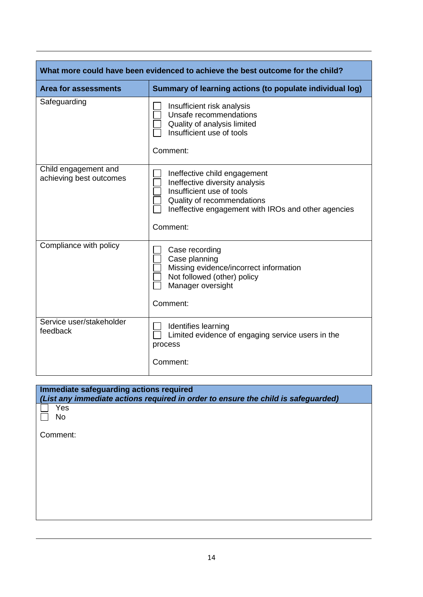| What more could have been evidenced to achieve the best outcome for the child? |                                                                                                                                                                                              |  |
|--------------------------------------------------------------------------------|----------------------------------------------------------------------------------------------------------------------------------------------------------------------------------------------|--|
| <b>Area for assessments</b>                                                    | Summary of learning actions (to populate individual log)                                                                                                                                     |  |
| Safeguarding                                                                   | Insufficient risk analysis<br>Unsafe recommendations<br>Quality of analysis limited<br>Insufficient use of tools<br>Comment:                                                                 |  |
| Child engagement and<br>achieving best outcomes                                | Ineffective child engagement<br>Ineffective diversity analysis<br>Insufficient use of tools<br>Quality of recommendations<br>Ineffective engagement with IROs and other agencies<br>Comment: |  |
| Compliance with policy                                                         | Case recording<br>Case planning<br>Missing evidence/incorrect information<br>Not followed (other) policy<br>Manager oversight<br>Comment:                                                    |  |
| Service user/stakeholder<br>feedback                                           | Identifies learning<br>Limited evidence of engaging service users in the<br>process<br>Comment:                                                                                              |  |

| Immediate safeguarding actions required<br>(List any immediate actions required in order to ensure the child is safeguarded) |  |
|------------------------------------------------------------------------------------------------------------------------------|--|
| Yes<br>No                                                                                                                    |  |
| Comment:                                                                                                                     |  |
|                                                                                                                              |  |